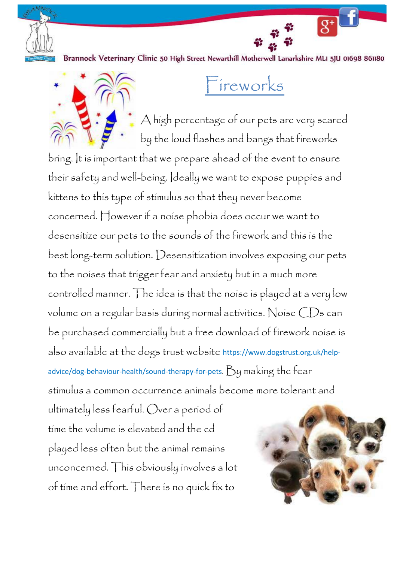

Brannock Veterinary Clinic 50 High Street Newarthill Motherwell Lanarkshire MLI 5JU 01698 861180



## Fireworks

A high percentage of our pets are very scared by the loud flashes and bangs that fireworks

bring. It is important that we prepare ahead of the event to ensure their safety and well-being. Ideally we want to expose puppies and kittens to this type of stimulus so that they never become concerned. However if a noise phobia does occur we want to desensitize our pets to the sounds of the firework and this is the best long-term solution. Desensitization involves exposing our pets to the noises that trigger fear and anxiety but in a much more controlled manner. The idea is that the noise is played at a very low volume on a regular basis during normal activities. Noise CDs can be purchased commercially but a free download of firework noise is also available at the dogs trust website https://www.dogstrust.org.uk/helpadvice/dog-behaviour-health/sound-therapy-for-pets. By making the fear stimulus a common occurrence animals become more tolerant and

ultimately less fearful. Over a period of time the volume is elevated and the cd played less often but the animal remains unconcerned. This obviously involves a lot of time and effort. There is no quick fix to

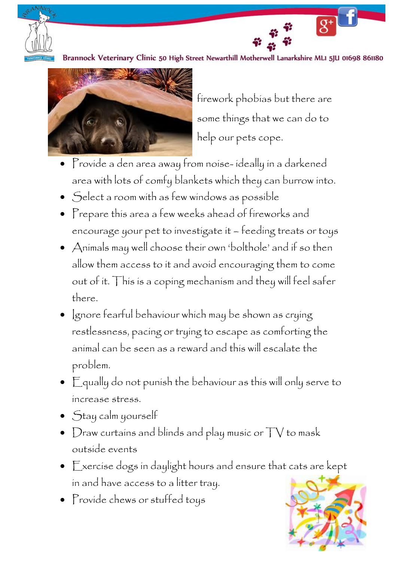

Brannock Veterinary Clinic 50 High Street Newarthill Motherwell Lanarkshire MLI 5JU 01698 861180



firework phobias but there are some things that we can do to help our pets cope.

 $\overline{g^+}$ 

- Provide a den area away from noise- ideally in a darkened area with lots of comfy blankets which they can burrow into.
- Select a room with as few windows as possible
- Prepare this area a few weeks ahead of fireworks and encourage your pet to investigate it – feeding treats or toys
- Animals may well choose their own 'bolthole' and if so then allow them access to it and avoid encouraging them to come out of it. This is a coping mechanism and they will feel safer there.
- Ignore fearful behaviour which may be shown as crying restlessness, pacing or trying to escape as comforting the animal can be seen as a reward and this will escalate the problem.
- Equally do not punish the behaviour as this will only serve to increase stress.
- Stay calm yourself
- Draw curtains and blinds and play music or  $\top\forall$  to mask outside events
- Exercise dogs in daylight hours and ensure that cats are kept in and have access to a litter tray.
- Provide chews or stuffed toys